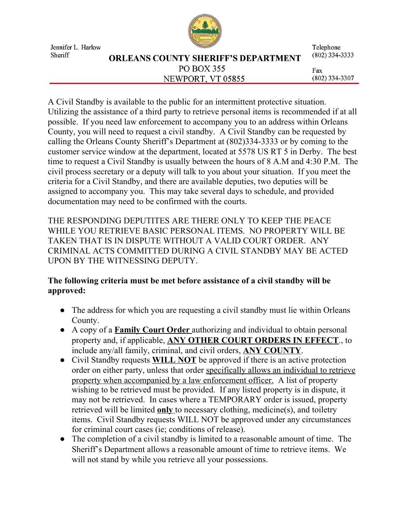

Jennifer L. Harlow Sheriff

## **ORLEANS COUNTY SHERIFF'S DEPARTMENT PO BOX 355** NEWPORT, VT 05855

Telephone  $(802)$  334-3333

Fax  $(802)$  334-3307

A Civil Standby is available to the public for an intermittent protective situation. Utilizing the assistance of a third party to retrieve personal items is recommended if at all possible. If you need law enforcement to accompany you to an address within Orleans County, you will need to request a civil standby. A Civil Standby can be requested by calling the Orleans County Sheriff's Department at (802)334-3333 or by coming to the customer service window at the department, located at 5578 US RT 5 in Derby. The best time to request a Civil Standby is usually between the hours of 8 A.M and 4:30 P.M. The civil process secretary or a deputy will talk to you about your situation. If you meet the criteria for a Civil Standby, and there are available deputies, two deputies will be assigned to accompany you. This may take several days to schedule, and provided documentation may need to be confirmed with the courts.

THE RESPONDING DEPUTITES ARE THERE ONLY TO KEEP THE PEACE WHILE YOU RETRIEVE BASIC PERSONAL ITEMS. NO PROPERTY WILL BE TAKEN THAT IS IN DISPUTE WITHOUT A VALID COURT ORDER. ANY CRIMINAL ACTS COMMITTED DURING A CIVIL STANDBY MAY BE ACTED UPON BY THE WITNESSING DEPUTY.

# **The following criteria must be met before assistance of a civil standby will be approved:**

- **●** The address for which you are requesting a civil standby must lie within Orleans County.
- **●** A copy of a **Family Court Order** authorizing and individual to obtain personal property and, if applicable, **ANY OTHER COURT ORDERS IN EFFECT**., to include any/all family, criminal, and civil orders, **ANY COUNTY**.
- **●** Civil Standby requests **WILL NOT** be approved if there is an active protection order on either party, unless that order specifically allows an individual to retrieve property when accompanied by a law enforcement officer. A list of property wishing to be retrieved must be provided. If any listed property is in dispute, it may not be retrieved. In cases where a TEMPORARY order is issued, property retrieved will be limited **only** to necessary clothing, medicine(s), and toiletry items. Civil Standby requests WILL NOT be approved under any circumstances for criminal court cases (ie; conditions of release).
- **●** The completion of a civil standby is limited to a reasonable amount of time. The Sheriff's Department allows a reasonable amount of time to retrieve items. We will not stand by while you retrieve all your possessions.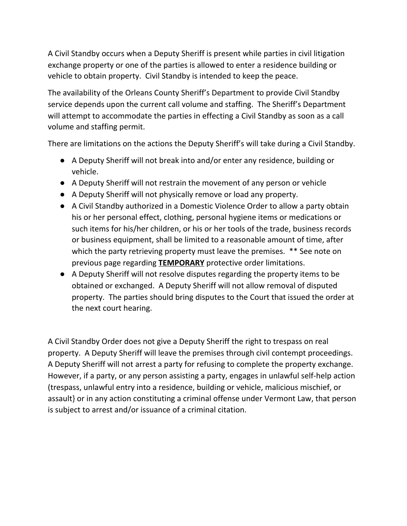A Civil Standby occurs when a Deputy Sheriff is present while parties in civil litigation exchange property or one of the parties is allowed to enter a residence building or vehicle to obtain property. Civil Standby is intended to keep the peace.

The availability of the Orleans County Sheriff's Department to provide Civil Standby service depends upon the current call volume and staffing. The Sheriff's Department will attempt to accommodate the parties in effecting a Civil Standby as soon as a call volume and staffing permit.

There are limitations on the actions the Deputy Sheriff's will take during a Civil Standby.

- A Deputy Sheriff will not break into and/or enter any residence, building or vehicle.
- A Deputy Sheriff will not restrain the movement of any person or vehicle
- A Deputy Sheriff will not physically remove or load any property.
- A Civil Standby authorized in a Domestic Violence Order to allow a party obtain his or her personal effect, clothing, personal hygiene items or medications or such items for his/her children, or his or her tools of the trade, business records or business equipment, shall be limited to a reasonable amount of time, after which the party retrieving property must leave the premises. \*\* See note on previous page regarding **TEMPORARY** protective order limitations.
- A Deputy Sheriff will not resolve disputes regarding the property items to be obtained or exchanged. A Deputy Sheriff will not allow removal of disputed property. The parties should bring disputes to the Court that issued the order at the next court hearing.

A Civil Standby Order does not give a Deputy Sheriff the right to trespass on real property. A Deputy Sheriff will leave the premises through civil contempt proceedings. A Deputy Sheriff will not arrest a party for refusing to complete the property exchange. However, if a party, or any person assisting a party, engages in unlawful self-help action (trespass, unlawful entry into a residence, building or vehicle, malicious mischief, or assault} or in any action constituting a criminal offense under Vermont Law, that person is subject to arrest and/or issuance of a criminal citation.